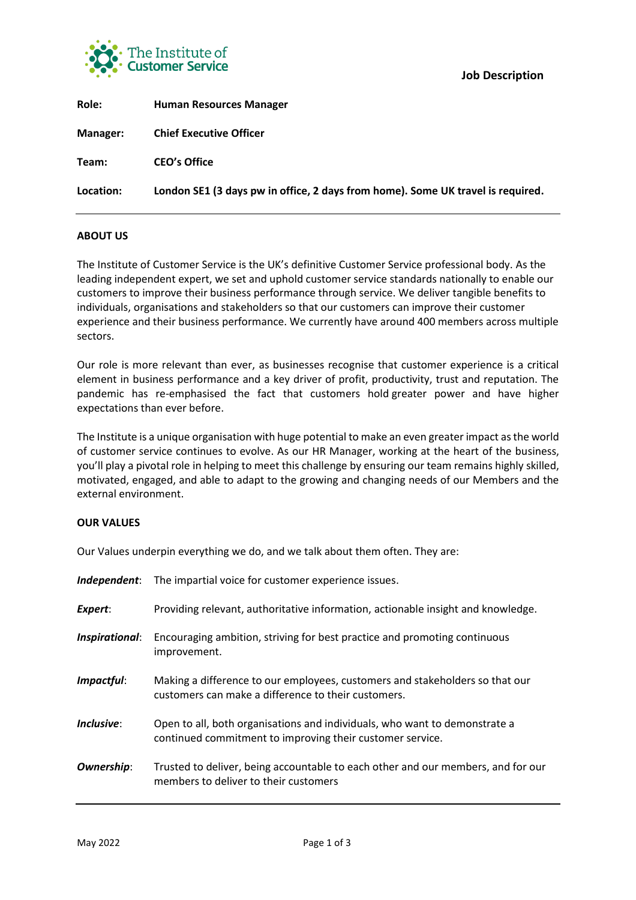

| London SE1 (3 days pw in office, 2 days from home). Some UK travel is required. |
|---------------------------------------------------------------------------------|
|                                                                                 |

**Job Description**

# **ABOUT US**

The Institute of Customer Service is the UK's definitive Customer Service professional body. As the leading independent expert, we set and uphold customer service standards nationally to enable our customers to improve their business performance through service. We deliver tangible benefits to individuals, organisations and stakeholders so that our customers can improve their customer experience and their business performance. We currently have around 400 members across multiple sectors.

Our role is more relevant than ever, as businesses recognise that customer experience is a critical element in business performance and a key driver of profit, productivity, trust and reputation. The pandemic has re-emphasised the fact that customers hold greater power and have higher expectations than ever before.

The Institute is a unique organisation with huge potential to make an even greater impact as the world of customer service continues to evolve. As our HR Manager, working at the heart of the business, you'll play a pivotal role in helping to meet this challenge by ensuring our team remains highly skilled, motivated, engaged, and able to adapt to the growing and changing needs of our Members and the external environment.

### **OUR VALUES**

Our Values underpin everything we do, and we talk about them often. They are:

| Independent:      | The impartial voice for customer experience issues.                                                                                     |
|-------------------|-----------------------------------------------------------------------------------------------------------------------------------------|
| Expert:           | Providing relevant, authoritative information, actionable insight and knowledge.                                                        |
| Inspirational:    | Encouraging ambition, striving for best practice and promoting continuous<br>improvement.                                               |
| Impactful:        | Making a difference to our employees, customers and stakeholders so that our<br>customers can make a difference to their customers.     |
| Inclusive:        | Open to all, both organisations and individuals, who want to demonstrate a<br>continued commitment to improving their customer service. |
| <b>Ownership:</b> | Trusted to deliver, being accountable to each other and our members, and for our<br>members to deliver to their customers               |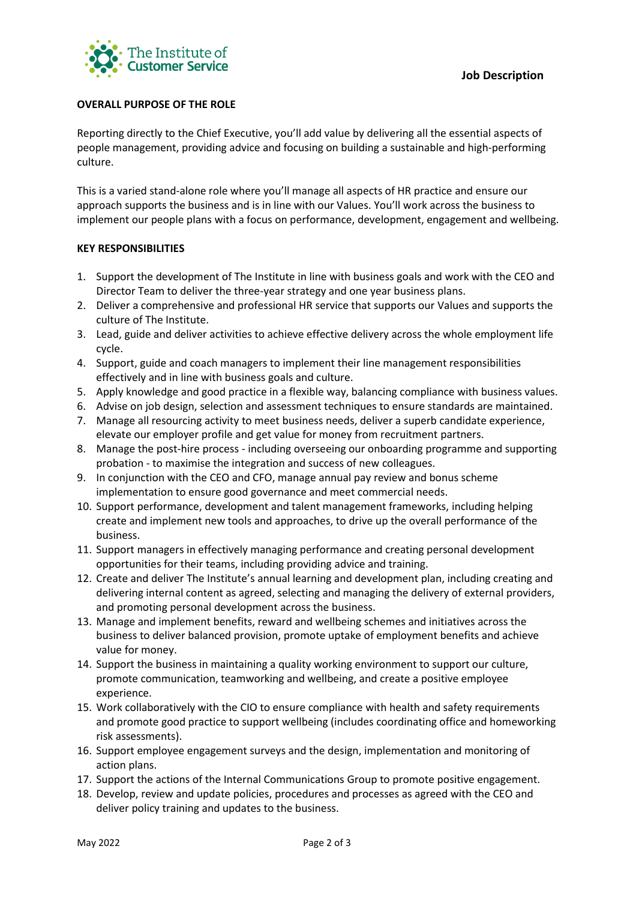

# **OVERALL PURPOSE OF THE ROLE**

Reporting directly to the Chief Executive, you'll add value by delivering all the essential aspects of people management, providing advice and focusing on building a sustainable and high-performing culture.

This is a varied stand-alone role where you'll manage all aspects of HR practice and ensure our approach supports the business and is in line with our Values. You'll work across the business to implement our people plans with a focus on performance, development, engagement and wellbeing.

### **KEY RESPONSIBILITIES**

- 1. Support the development of The Institute in line with business goals and work with the CEO and Director Team to deliver the three-year strategy and one year business plans.
- 2. Deliver a comprehensive and professional HR service that supports our Values and supports the culture of The Institute.
- 3. Lead, guide and deliver activities to achieve effective delivery across the whole employment life cycle.
- 4. Support, guide and coach managers to implement their line management responsibilities effectively and in line with business goals and culture.
- 5. Apply knowledge and good practice in a flexible way, balancing compliance with business values.
- 6. Advise on job design, selection and assessment techniques to ensure standards are maintained.
- 7. Manage all resourcing activity to meet business needs, deliver a superb candidate experience, elevate our employer profile and get value for money from recruitment partners.
- 8. Manage the post-hire process including overseeing our onboarding programme and supporting probation - to maximise the integration and success of new colleagues.
- 9. In conjunction with the CEO and CFO, manage annual pay review and bonus scheme implementation to ensure good governance and meet commercial needs.
- 10. Support performance, development and talent management frameworks, including helping create and implement new tools and approaches, to drive up the overall performance of the business.
- 11. Support managers in effectively managing performance and creating personal development opportunities for their teams, including providing advice and training.
- 12. Create and deliver The Institute's annual learning and development plan, including creating and delivering internal content as agreed, selecting and managing the delivery of external providers, and promoting personal development across the business.
- 13. Manage and implement benefits, reward and wellbeing schemes and initiatives across the business to deliver balanced provision, promote uptake of employment benefits and achieve value for money.
- 14. Support the business in maintaining a quality working environment to support our culture, promote communication, teamworking and wellbeing, and create a positive employee experience.
- 15. Work collaboratively with the CIO to ensure compliance with health and safety requirements and promote good practice to support wellbeing (includes coordinating office and homeworking risk assessments).
- 16. Support employee engagement surveys and the design, implementation and monitoring of action plans.
- 17. Support the actions of the Internal Communications Group to promote positive engagement.
- 18. Develop, review and update policies, procedures and processes as agreed with the CEO and deliver policy training and updates to the business.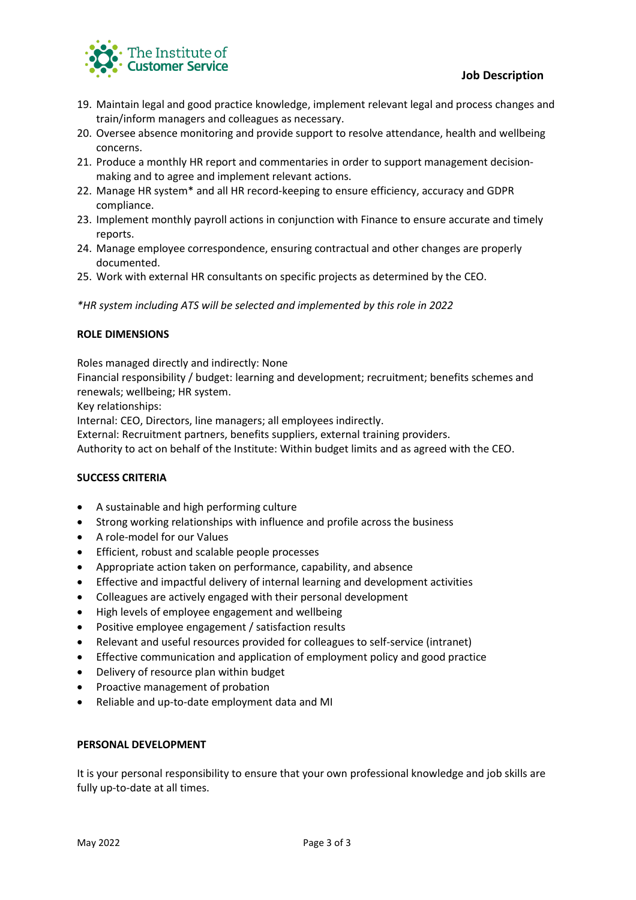

- 19. Maintain legal and good practice knowledge, implement relevant legal and process changes and train/inform managers and colleagues as necessary.
- 20. Oversee absence monitoring and provide support to resolve attendance, health and wellbeing concerns.
- 21. Produce a monthly HR report and commentaries in order to support management decisionmaking and to agree and implement relevant actions.
- 22. Manage HR system\* and all HR record-keeping to ensure efficiency, accuracy and GDPR compliance.
- 23. Implement monthly payroll actions in conjunction with Finance to ensure accurate and timely reports.
- 24. Manage employee correspondence, ensuring contractual and other changes are properly documented.
- 25. Work with external HR consultants on specific projects as determined by the CEO.

*\*HR system including ATS will be selected and implemented by this role in 2022*

## **ROLE DIMENSIONS**

Roles managed directly and indirectly: None

Financial responsibility / budget: learning and development; recruitment; benefits schemes and renewals; wellbeing; HR system.

Key relationships:

Internal: CEO, Directors, line managers; all employees indirectly.

External: Recruitment partners, benefits suppliers, external training providers.

Authority to act on behalf of the Institute: Within budget limits and as agreed with the CEO.

## **SUCCESS CRITERIA**

- A sustainable and high performing culture
- Strong working relationships with influence and profile across the business
- A role-model for our Values
- Efficient, robust and scalable people processes
- Appropriate action taken on performance, capability, and absence
- Effective and impactful delivery of internal learning and development activities
- Colleagues are actively engaged with their personal development
- High levels of employee engagement and wellbeing
- Positive employee engagement / satisfaction results
- Relevant and useful resources provided for colleagues to self-service (intranet)
- Effective communication and application of employment policy and good practice
- Delivery of resource plan within budget
- Proactive management of probation
- Reliable and up-to-date employment data and MI

#### **PERSONAL DEVELOPMENT**

It is your personal responsibility to ensure that your own professional knowledge and job skills are fully up-to-date at all times.